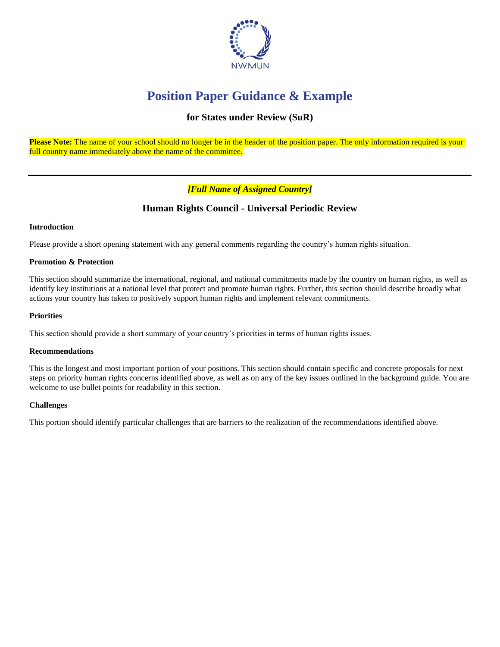

# **Position Paper Guidance & Example**

## **for States under Review (SuR)**

Please Note: The name of your school should no longer be in the header of the position paper. The only information required is your full country name immediately above the name of the committee.

## *[Full Name of Assigned Country]*

## **Human Rights Council - Universal Periodic Review**

### **Introduction**

Please provide a short opening statement with any general comments regarding the country's human rights situation.

### **Promotion & Protection**

This section should summarize the international, regional, and national commitments made by the country on human rights, as well as identify key institutions at a national level that protect and promote human rights. Further, this section should describe broadly what actions your country has taken to positively support human rights and implement relevant commitments.

### **Priorities**

This section should provide a short summary of your country's priorities in terms of human rights issues.

### **Recommendations**

This is the longest and most important portion of your positions. This section should contain specific and concrete proposals for next steps on priority human rights concerns identified above, as well as on any of the key issues outlined in the background guide. You are welcome to use bullet points for readability in this section.

### **Challenges**

This portion should identify particular challenges that are barriers to the realization of the recommendations identified above.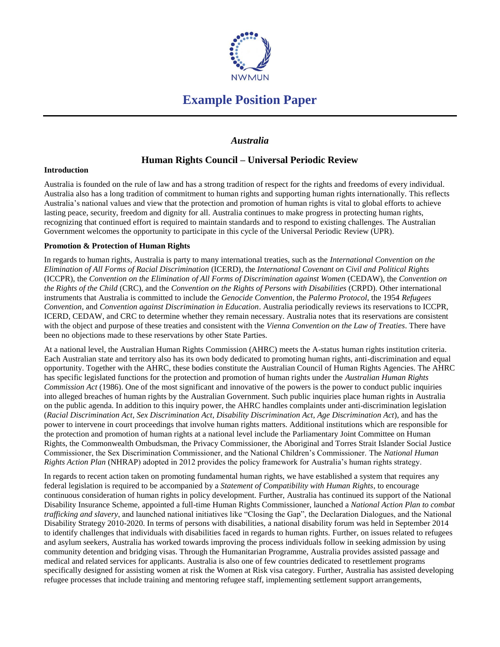

## **Example Position Paper**

### *Australia*

## **Human Rights Council – Universal Periodic Review**

### **Introduction**

Australia is founded on the rule of law and has a strong tradition of respect for the rights and freedoms of every individual. Australia also has a long tradition of commitment to human rights and supporting human rights internationally. This reflects Australia's national values and view that the protection and promotion of human rights is vital to global efforts to achieve lasting peace, security, freedom and dignity for all. Australia continues to make progress in protecting human rights, recognizing that continued effort is required to maintain standards and to respond to existing challenges. The Australian Government welcomes the opportunity to participate in this cycle of the Universal Periodic Review (UPR).

### **Promotion & Protection of Human Rights**

In regards to human rights, Australia is party to many international treaties, such as the *International Convention on the Elimination of All Forms of Racial Discrimination* (ICERD), the *International Covenant on Civil and Political Rights* (ICCPR), the *Convention on the Elimination of All Forms of Discrimination against Women* (CEDAW), the *Convention on the Rights of the Child* (CRC), and the *Convention on the Rights of Persons with Disabilities* (CRPD). Other international instruments that Australia is committed to include the *Genocide Convention*, the *Palermo Protocol*, the 1954 *Refugees Convention*, and *Convention against Discrimination in Education*. Australia periodically reviews its reservations to ICCPR, ICERD, CEDAW, and CRC to determine whether they remain necessary. Australia notes that its reservations are consistent with the object and purpose of these treaties and consistent with the *Vienna Convention on the Law of Treaties*. There have been no objections made to these reservations by other State Parties.

At a national level, the Australian Human Rights Commission (AHRC) meets the A-status human rights institution criteria. Each Australian state and territory also has its own body dedicated to promoting human rights, anti-discrimination and equal opportunity. Together with the AHRC, these bodies constitute the Australian Council of Human Rights Agencies. The AHRC has specific legislated functions for the protection and promotion of human rights under the *Australian Human Rights Commission Act* (1986). One of the most significant and innovative of the powers is the power to conduct public inquiries into alleged breaches of human rights by the Australian Government. Such public inquiries place human rights in Australia on the public agenda. In addition to this inquiry power, the AHRC handles complaints under anti-discrimination legislation (*Racial Discrimination Act*, *Sex Discrimination Act*, *Disability Discrimination Act*, *Age Discrimination Act*), and has the power to intervene in court proceedings that involve human rights matters. Additional institutions which are responsible for the protection and promotion of human rights at a national level include the Parliamentary Joint Committee on Human Rights, the Commonwealth Ombudsman, the Privacy Commissioner, the Aboriginal and Torres Strait Islander Social Justice Commissioner, the Sex Discrimination Commissioner, and the National Children's Commissioner. The *National Human Rights Action Plan* (NHRAP) adopted in 2012 provides the policy framework for Australia's human rights strategy.

In regards to recent action taken on promoting fundamental human rights, we have established a system that requires any federal legislation is required to be accompanied by a *Statement of Compatibility with Human Rights*, to encourage continuous consideration of human rights in policy development. Further, Australia has continued its support of the National Disability Insurance Scheme, appointed a full-time Human Rights Commissioner, launched a *National Action Plan to combat trafficking and slavery*, and launched national initiatives like "Closing the Gap", the Declaration Dialogues, and the National Disability Strategy 2010-2020. In terms of persons with disabilities, a national disability forum was held in September 2014 to identify challenges that individuals with disabilities faced in regards to human rights. Further, on issues related to refugees and asylum seekers, Australia has worked towards improving the process individuals follow in seeking admission by using community detention and bridging visas. Through the Humanitarian Programme, Australia provides assisted passage and medical and related services for applicants. Australia is also one of few countries dedicated to resettlement programs specifically designed for assisting women at risk the Women at Risk visa category. Further, Australia has assisted developing refugee processes that include training and mentoring refugee staff, implementing settlement support arrangements,